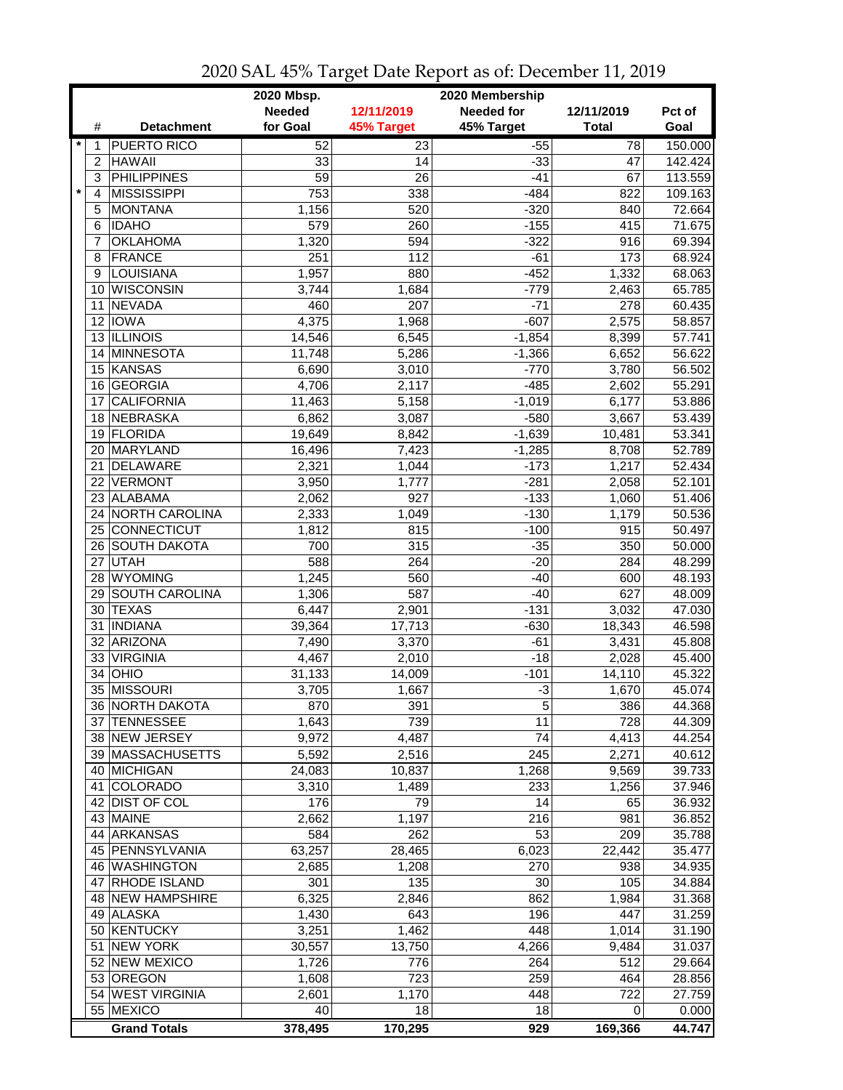|                |                                     | 2020 Mbsp.      |                 | 2020 Membership    |                |                  |
|----------------|-------------------------------------|-----------------|-----------------|--------------------|----------------|------------------|
|                |                                     | <b>Needed</b>   | 12/11/2019      | <b>Needed for</b>  | 12/11/2019     | Pct of           |
| #              | <b>Detachment</b>                   | for Goal        | 45% Target      | 45% Target         | <b>Total</b>   | Goal             |
|                | <b>PUERTO RICO</b><br>1             | 52              | 23              | $-55$              | 78             | 150.000          |
| $\overline{2}$ | <b>HAWAII</b>                       | 33              | 14              | $-33$              | 47             | 142.424          |
| 3              | <b>PHILIPPINES</b>                  | $\overline{59}$ | $\overline{26}$ | $-41$              | 67             | 113.559          |
| $\star$<br>4   | <b>MISSISSIPPI</b>                  | 753             | 338             | $-484$             | 822            | 109.163          |
| 5              | <b>MONTANA</b>                      | 1,156           | 520             | $-320$             | 840            | 72.664           |
| 6              | <b>IDAHO</b>                        | 579             | 260             | $-155$             | 415            | 71.675           |
| $\overline{7}$ | <b>OKLAHOMA</b>                     | 1,320           | 594             | $-322$             | 916            | 69.394           |
| 8              | <b>FRANCE</b>                       | 251             | 112             | $-61$              | 173            | 68.924           |
| 9              | LOUISIANA                           | 1,957           | 880             | $-452$             | 1,332          | 68.063           |
|                | WISCONSIN<br>10                     | 3,744           | 1,684           | $-779$             | 2,463          | 65.785           |
| 11             | NEVADA                              | 460             | 207             | $-71$              | 278            | 60.435           |
|                | 12 IOWA                             | 4,375           | 1,968           | $-607$             | 2,575          | 58.857           |
|                | 13 ILLINOIS                         | 14,546          | 6,545           | $-1,854$           | 8,399          | 57.741           |
|                | MINNESOTA<br>14                     | 11,748          | 5,286           | $-1,366$           | 6,652          | 56.622           |
|                | KANSAS<br>15                        | 6,690           | 3,010           | $-770$             | 3,780          | 56.502           |
|                | GEORGIA<br>16                       | 4,706           | 2,117           | $-485$             | 2,602          | 55.291           |
|                |                                     |                 |                 |                    |                |                  |
| 17             | <b>CALIFORNIA</b><br>NEBRASKA<br>18 | 11,463<br>6,862 | 5,158<br>3,087  | $-1,019$<br>$-580$ | 6,177<br>3,667 | 53.886<br>53.439 |
|                |                                     |                 |                 |                    |                |                  |
|                | FLORIDA<br>19                       | 19,649          | 8,842           | $-1,639$           | 10,481         | 53.341           |
| 20             | MARYLAND                            | 16,496          | 7,423           | $-1,285$           | 8,708          | 52.789           |
| 21             | DELAWARE                            | 2,321           | 1,044           | $-173$             | 1,217          | 52.434           |
|                | 22 VERMONT                          | 3,950           | 1,777           | $-281$             | 2,058          | 52.101           |
|                | 23 ALABAMA                          | 2,062           | 927             | $-133$             | 1,060          | 51.406           |
|                | 24 NORTH CAROLINA                   | 2,333           | 1,049           | $-130$             | 1,179          | 50.536           |
|                | 25 CONNECTICUT                      | 1,812           | 815             | $-100$             | 915            | 50.497           |
|                | 26 SOUTH DAKOTA                     | 700             | 315             | $-35$              | 350            | 50.000           |
|                | 27 UTAH                             | 588             | 264             | $-20$              | 284            | 48.299           |
|                | 28 WYOMING                          | 1,245           | 560             | $-40$              | 600            | 48.193           |
|                | <b>SOUTH CAROLINA</b><br>29         | 1,306           | 587             | $-40$              | 627            | 48.009           |
|                | 30 TEXAS                            | 6,447           | 2,901           | $-131$             | 3,032          | 47.030           |
| 31             | <b>INDIANA</b>                      | 39,364          | 17,713          | $-630$             | 18,343         | 46.598           |
|                | 32 ARIZONA                          | 7,490           | 3,370           | $-61$              | 3,431          | 45.808           |
|                | 33 VIRGINIA                         | 4,467           | 2,010           | $-18$              | 2,028          | 45.400           |
|                | OHIO<br>34                          | 31,133          | 14,009          | $-101$             | 14,110         | 45.322           |
|                | 35 MISSOURI                         | 3,705           | 1,667           | $-3$               | 1,670          | 45.074           |
|                | 36 NORTH DAKOTA                     | 870             | 391             | 5                  | 386            | 44.368           |
|                | 37 TENNESSEE                        | 1,643           | 739             | 11                 | 728            | 44.309           |
|                | 38 NEW JERSEY                       | 9,972           | 4,487           | 74                 | 4,413          | 44.254           |
|                | 39 MASSACHUSETTS                    | 5,592           | 2,516           | 245                | 2,271          | 40.612           |
|                | 40 MICHIGAN                         | 24,083          | 10,837          | 1,268              | 9,569          | 39.733           |
|                | 41 COLORADO                         | 3,310           | 1,489           | 233                | 1,256          | 37.946           |
|                | 42 DIST OF COL                      | 176             | 79              | 14                 | 65             | 36.932           |
|                | 43 MAINE                            | 2,662           | 1,197           | 216                | 981            | 36.852           |
|                | 44 ARKANSAS                         | 584             | 262             | 53                 | 209            | 35.788           |
|                | 45 PENNSYLVANIA                     | 63,257          | 28,465          | 6,023              | 22,442         | 35.477           |
|                | 46 WASHINGTON                       | 2,685           | 1,208           | 270                | 938            | 34.935           |
|                | <b>RHODE ISLAND</b><br>47           | 301             | 135             | 30                 | 105            | 34.884           |
|                | 48 NEW HAMPSHIRE                    | 6,325           | 2,846           | 862                | 1,984          | 31.368           |
|                | <b>ALASKA</b><br>49                 | 1,430           | 643             | 196                | 447            | 31.259           |
|                | 50 KENTUCKY                         | 3,251           | 1,462           | 448                | 1,014          | 31.190           |
| 51             | <b>NEW YORK</b>                     | 30,557          | 13,750          | 4,266              | 9,484          | 31.037           |
|                | 52 NEW MEXICO                       | 1,726           | 776             | 264                | 512            | 29.664           |
|                | 53 OREGON                           | 1,608           | 723             | 259                | 464            | 28.856           |
|                | 54 WEST VIRGINIA                    | 2,601           | 1,170           | 448                | 722            |                  |
|                | 55 MEXICO                           | 40              | 18              | 18                 | 0              | 27.759           |
|                |                                     |                 |                 |                    |                | 0.000            |
|                | <b>Grand Totals</b>                 | 378,495         | 170,295         | 929                | 169,366        | 44.747           |

2020 SAL 45% Target Date Report as of: December 11, 2019